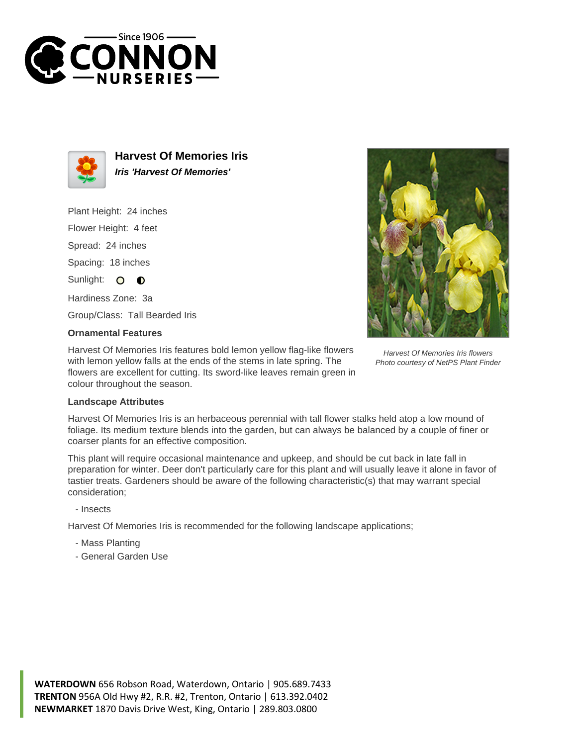



**Harvest Of Memories Iris Iris 'Harvest Of Memories'**

Plant Height: 24 inches

Flower Height: 4 feet

Spread: 24 inches

Spacing: 18 inches

Sunlight: O **O** 

Hardiness Zone: 3a

Group/Class: Tall Bearded Iris

## **Ornamental Features**

Harvest Of Memories Iris features bold lemon yellow flag-like flowers with lemon yellow falls at the ends of the stems in late spring. The flowers are excellent for cutting. Its sword-like leaves remain green in colour throughout the season.

Harvest Of Memories Iris flowers Photo courtesy of NetPS Plant Finder

## **Landscape Attributes**

Harvest Of Memories Iris is an herbaceous perennial with tall flower stalks held atop a low mound of foliage. Its medium texture blends into the garden, but can always be balanced by a couple of finer or coarser plants for an effective composition.

This plant will require occasional maintenance and upkeep, and should be cut back in late fall in preparation for winter. Deer don't particularly care for this plant and will usually leave it alone in favor of tastier treats. Gardeners should be aware of the following characteristic(s) that may warrant special consideration;

- Insects

Harvest Of Memories Iris is recommended for the following landscape applications;

- Mass Planting
- General Garden Use

**WATERDOWN** 656 Robson Road, Waterdown, Ontario | 905.689.7433 **TRENTON** 956A Old Hwy #2, R.R. #2, Trenton, Ontario | 613.392.0402 **NEWMARKET** 1870 Davis Drive West, King, Ontario | 289.803.0800